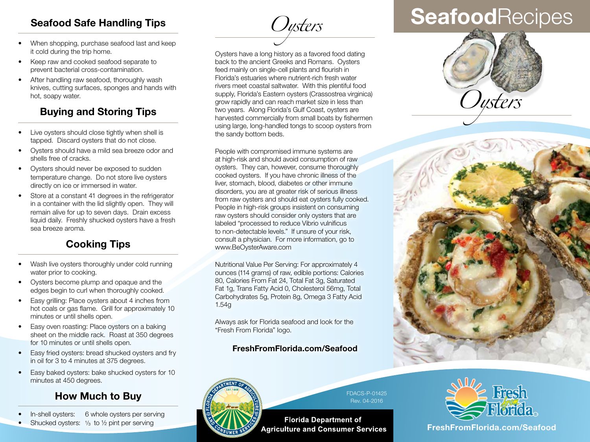### **Seafood Safe Handling Tips**

- When shopping, purchase seafood last and keep it cold during the trip home.
- Keep raw and cooked seafood separate to prevent bacterial cross-contamination.
- After handling raw seafood, thoroughly wash knives, cutting surfaces, sponges and hands with hot, soapy water.

# **Buying and Storing Tips**

- Live oysters should close tightly when shell is tapped. Discard oysters that do not close.
- Oysters should have a mild sea breeze odor and shells free of cracks.
- Oysters should never be exposed to sudden temperature change. Do not store live oysters directly on ice or immersed in water.
- Store at a constant 41 degrees in the refrigerator in a container with the lid slightly open. They will remain alive for up to seven days. Drain excess liquid daily. Freshly shucked oysters have a fresh sea breeze aroma.

# **Cooking Tips**

- Wash live oysters thoroughly under cold running water prior to cooking.
- Oysters become plump and opaque and the edges begin to curl when thoroughly cooked.
- Easy grilling: Place oysters about 4 inches from hot coals or gas flame. Grill for approximately 10 minutes or until shells open.
- Easy oven roasting: Place oysters on a baking sheet on the middle rack. Roast at 350 degrees for 10 minutes or until shells open.
- Easy fried oysters: bread shucked oysters and fry in oil for 3 to 4 minutes at 375 degrees.
- Easy baked oysters: bake shucked oysters for 10 minutes at 450 degrees.

### **How Much to Buy**

- In-shell oysters: 6 whole oysters per serving
- Shucked oysters:  $\frac{1}{3}$  to  $\frac{1}{2}$  pint per serving

*Oysters*

Oysters have a long history as a favored food dating back to the ancient Greeks and Romans. Oysters feed mainly on single-cell plants and flourish in Florida's estuaries where nutrient-rich fresh water rivers meet coastal saltwater. With this plentiful food supply, Florida's Eastern oysters (Crassostrea virginica) grow rapidly and can reach market size in less than two years. Along Florida's Gulf Coast, oysters are harvested commercially from small boats by fishermen using large, long-handled tongs to scoop oysters from the sandy bottom beds.

People with compromised immune systems are at high-risk and should avoid consumption of raw oysters. They can, however, consume thoroughly cooked oysters. If you have chronic illness of the liver, stomach, blood, diabetes or other immune disorders, you are at greater risk of serious illness from raw oysters and should eat oysters fully cooked. People in high-risk groups insistent on consuming raw oysters should consider only oysters that are labeled "processed to reduce Vibrio vulnificus to non-detectable levels." If unsure of your risk, consult a physician. For more information, go to www.BeOysterAware.com

Nutritional Value Per Serving: For approximately 4 ounces (114 grams) of raw, edible portions: Calories 80, Calories From Fat 24, Total Fat 3g, Saturated Fat 1g, Trans Fatty Acid 0, Cholesterol 56mg, Total Carbohydrates 5g, Protein 8g, Omega 3 Fatty Acid 1.54g

Always ask for Florida seafood and look for the "Fresh From Florida" logo.

#### Bureau of Seafood and Aquaculture Marketing Marketing Marketing Marketing Marketing Marketing Marketing Marketing Marketing Marketing Marketing Marketing Marketing Marketing Marketing Marketing Marketing Marketing Marketin **FreshFromFlorida.com/Seafood**



FDACS-P-01425 Rev. 04-2016

**Florida Department of Agriculture and Consumer Services** 

# **Seafood**Recipes







**FreshFromFlorida.com FreshFromFlorida.com/Seafood**